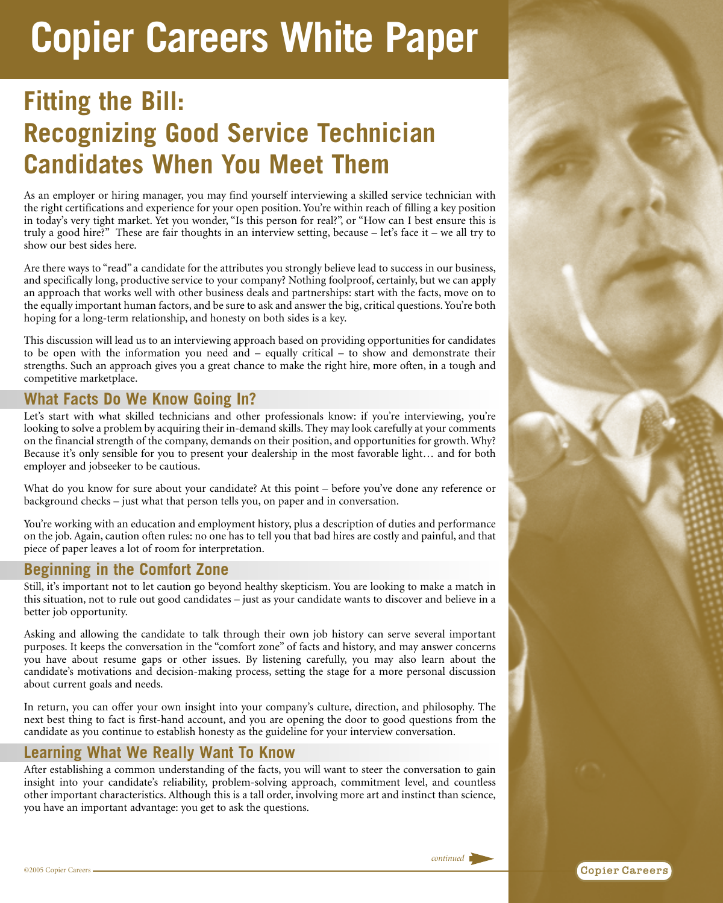# **Copier Careers White Paper**

## **Fitting the Bill: Recognizing Good Service Technician Candidates When You Meet Them**

As an employer or hiring manager, you may find yourself interviewing a skilled service technician with the right certifications and experience for your open position. You're within reach of filling a key position in today's very tight market. Yet you wonder, "Is this person for real?", or "How can I best ensure this is truly a good hire?" These are fair thoughts in an interview setting, because – let's face it – we all try to show our best sides here.

Are there ways to "read" a candidate for the attributes you strongly believe lead to success in our business, and specifically long, productive service to your company? Nothing foolproof, certainly, but we can apply an approach that works well with other business deals and partnerships: start with the facts, move on to the equally important human factors, and be sure to ask and answer the big, critical questions. You're both hoping for a long-term relationship, and honesty on both sides is a key.

This discussion will lead us to an interviewing approach based on providing opportunities for candidates to be open with the information you need and – equally critical – to show and demonstrate their strengths. Such an approach gives you a great chance to make the right hire, more often, in a tough and competitive marketplace.

#### **What Facts Do We Know Going In?**

Let's start with what skilled technicians and other professionals know: if you're interviewing, you're looking to solve a problem by acquiring their in-demand skills. They may look carefully at your comments on the financial strength of the company, demands on their position, and opportunities for growth. Why? Because it's only sensible for you to present your dealership in the most favorable light… and for both employer and jobseeker to be cautious.

What do you know for sure about your candidate? At this point – before you've done any reference or background checks – just what that person tells you, on paper and in conversation.

You're working with an education and employment history, plus a description of duties and performance on the job. Again, caution often rules: no one has to tell you that bad hires are costly and painful, and that piece of paper leaves a lot of room for interpretation.

#### **Beginning in the Comfort Zone**

Still, it's important not to let caution go beyond healthy skepticism. You are looking to make a match in this situation, not to rule out good candidates – just as your candidate wants to discover and believe in a better job opportunity.

Asking and allowing the candidate to talk through their own job history can serve several important purposes. It keeps the conversation in the "comfort zone" of facts and history, and may answer concerns you have about resume gaps or other issues. By listening carefully, you may also learn about the candidate's motivations and decision-making process, setting the stage for a more personal discussion about current goals and needs.

In return, you can offer your own insight into your company's culture, direction, and philosophy. The next best thing to fact is first-hand account, and you are opening the door to good questions from the candidate as you continue to establish honesty as the guideline for your interview conversation.

### **Learning What We Really Want To Know**

After establishing a common understanding of the facts, you will want to steer the conversation to gain insight into your candidate's reliability, problem-solving approach, commitment level, and countless other important characteristics. Although this is a tall order, involving more art and instinct than science, you have an important advantage: you get to ask the questions.